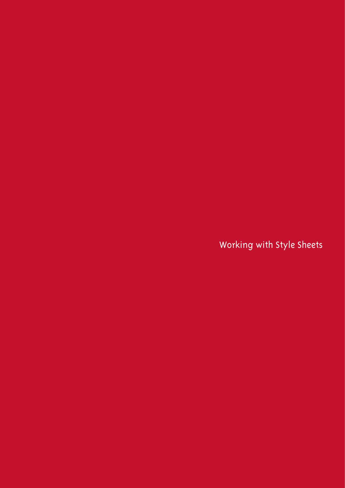Working with Style Sheets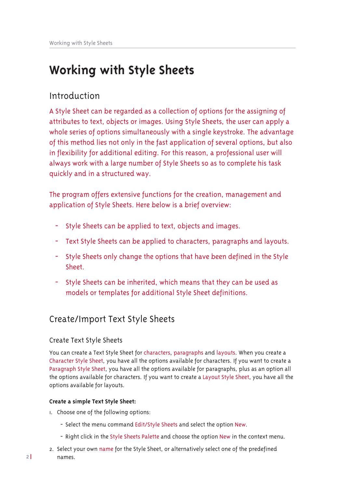# **Working with Style Sheets**

# Introduction

A Style Sheet can be regarded as a collection of options for the assigning of attributes to text, objects or images. Using Style Sheets, the user can apply a whole series of options simultaneously with a single keystroke. The advantage of this method lies not only in the fast application of several options, but also in flexibility for additional editing. For this reason, a professional user will always work with a large number of Style Sheets so as to complete his task quickly and in a structured way.

The program offers extensive functions for the creation, management and application of Style Sheets. Here below is a brief overview:

- Style Sheets can be applied to text, objects and images.
- Text Style Sheets can be applied to characters, paragraphs and layouts.
- Style Sheets only change the options that have been defined in the Style Sheet
- Style Sheets can be inherited, which means that they can be used as models or templates for additional Style Sheet definitions.

# Create/Import Text Style Sheets

### Create Text Style Sheets

You can create a Text Style Sheet for characters, paragraphs and layouts. When you create a Character Style Sheet, you have all the options available for characters. If you want to create a Paragraph Style Sheet, you have all the options available for paragraphs, plus as an option all the options available for characters. If you want to create a Layout Style Sheet, you have all the options available for layouts.

#### Create a simple Text Style Sheet:

- I. Choose one of the following options:
	- Select the menu command Edit/Style Sheets and select the option New.
	- Right click in the Style Sheets Palette and choose the option New in the context menu.
- 2. Select your own name for the Style Sheet, or alternatively select one of the predefined names.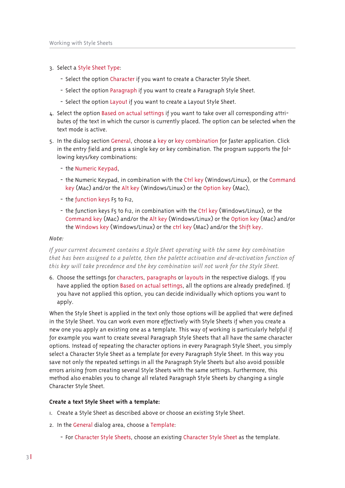- 3. Select a Style Sheet Type:
	- Select the option Character if you want to create a Character Style Sheet.
	- Select the option Paragraph if you want to create a Paragraph Style Sheet.
	- Select the option Layout if you want to create a Layout Style Sheet.
- 4. Select the option Based on actual settings if you want to take over all corresponding attributes of the text in which the cursor is currently placed. The option can be selected when the text mode is active.
- 5. In the dialog section General, choose a key or key combination for faster application. Click in the entry field and press a single key or key combination. The program supports the following keys/key combinations:
	- the Numeric Keypad,
	- the Numeric Keypad, in combination with the Ctrl key (Windows/Linux), or the Command key (Mac) and/or the Alt key (Windows/Linux) or the Option key (Mac),
	- the function keys F5 to F12,
	- the function keys F5 to F12, in combination with the Ctrl key (Windows/Linux), or the Command key (Mac) and/or the Alt key (Windows/Linux) or the Option key (Mac) and/or the Windows key (Windows/Linux) or the ctrl key (Mac) and/or the Shift key.

#### Note:

If your current document contains a Style Sheet operating with the same key combination that has been assigned to a palette, then the palette activation and de-activation function of this key will take precedence and the key combination will not work for the Style Sheet.

6. Choose the settings for characters, paragraphs or layouts in the respective dialogs. If you have applied the option Based on actual settings, all the options are already predefined. If you have not applied this option, you can decide individually which options you want to apply.

When the Style Sheet is applied in the text only those options will be applied that were defined in the Style Sheet. You can work even more effectively with Style Sheets if when you create a new one you apply an existing one as a template. This way of working is particularly helpful if for example you want to create several Paragraph Style Sheets that all have the same character options. Instead of repeating the character options in every Paragraph Style Sheet, you simply select a Character Style Sheet as a template for every Paragraph Style Sheet. In this way you save not only the repeated settings in all the Paragraph Style Sheets but also avoid possible errors arising from creating several Style Sheets with the same settings. Furthermore, this method also enables you to change all related Paragraph Style Sheets by changing a single Character Style Sheet.

#### Create a text Style Sheet with a template:

- I. Create a Style Sheet as described above or choose an existing Style Sheet.
- 2. In the General dialog area, choose a Template:
	- For Character Style Sheets, choose an existing Character Style Sheet as the template.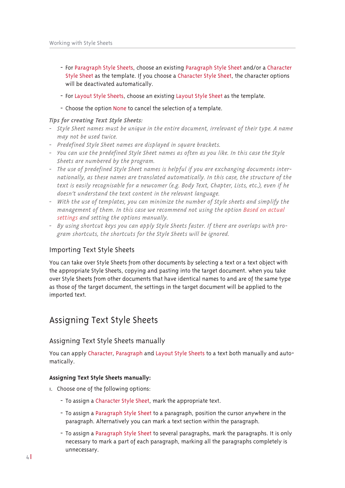- For Paragraph Style Sheets, choose an existing Paragraph Style Sheet and/or a Character Style Sheet as the template. If you choose a Character Style Sheet, the character options will be deactivated automatically.
- For Layout Style Sheets, choose an existing Layout Style Sheet as the template.
- Choose the option None to cancel the selection of a template.

#### *<i>Tips for creating Text Style Sheets:*

- *0 ňũ|oŚ ňŝŚŚũ ţdpŚv pxvũ ŗŚ xţlŦxŚ lţ ũŝŚ ŚţũluŚ grfxpŚţũġ luuŚoŚydţũ ri ũŝŚlu ũ|sŚ1 Ķ ţdpŚ may not be used twice.*
- *<u>2 Predefined Style Sheet names are displayed in square brackets.</u>*
- *0 Ŏrx fdţ xvŚ ũŝŚ suŚgŚilţŚg ňũ|oŚ ňŝŚŚũ ţdpŚv dv riũŚţ dv |rx olŠŚ1 Lţ ũŝlv fdvŚ ũŝŚ ňũ|oŚ sheets are numbered by the program.*
- *0 WŝŚ xvŚ ri suŚgŚilţŚg ňũ|oŚ ňŝŚŚũ ţdpŚv lv ŝŚosixo li |rx duŚ Ś{fŝdţjlţj grfxpŚţũv lţũŚu0 nationally, as these names are translated automatically. In this case, the structure of the*  $i$  *text is easily recognisable for a newcomer (e.g. Body Text, Chapter, Lists, etc.), even if he doesn't understand the text content in the relevant language.*
- *0 Zlũŝ ũŝŚ xvŚ ri ũŚpsodũŚvġ |rx fdţ plţlplůŚ ũŝŚ ţxpŗŚu ri ňũ|oŚ vŝŚŚũv dţg vlpsoli| ũŝŚ pdţdjŚpŚţũ ri ũŝŚp1 Lţ ũŝlv fdvŚ ŬŚ uŚfrppŚţg ţrũ xvlţj ũŝŚ rsũlrţ EdvŚg rţ dfũxdo settings and setting the options manually.*
- *0 E| xvlţj vŝruũfxũ ŠŚ|v |rx fdţ dsso| ňũ|oŚ ňŝŚŚũv idvũŚu1 Li ũŝŚuŚ duŚ ryŚuodsv Ŭlũŝ sur0 gram shortcuts, the shortcuts for the Style Sheets will be ignored.*

#### Importing Text Style Sheets

You can take over Style Sheets from other documents by selecting a text or a text object with the appropriate Style Sheets, copying and pasting into the target document. when you take over Style Sheets from other documents that have identical names to and are of the same type as those of the target document, the settings in the target document will be applied to the imported text.

## Assigning Text Style Sheets

#### Assigning Text Style Sheets manually

You can apply Character, Paragraph and Layout Style Sheets to a text both manually and automatically.

#### **Assigning Text Style Sheets manually:**

- I. Choose one of the following options:
	- To assign a Character Style Sheet, mark the appropriate text.
	- To assign a Paragraph Style Sheet to a paragraph, position the cursor anywhere in the paragraph. Alternatively you can mark a text section within the paragraph.
	- To assign a Paragraph Style Sheet to several paragraphs, mark the paragraphs. It is only necessary to mark a part of each paragraph, marking all the paragraphs completely is unnecessary.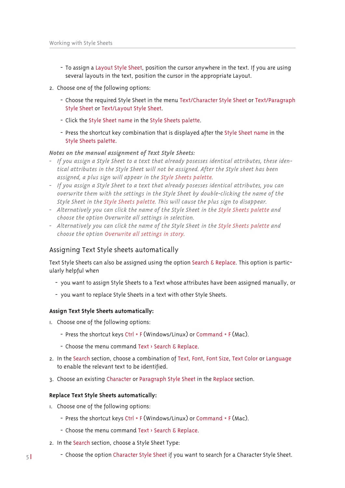- To assign a Layout Style Sheet, position the cursor anywhere in the text. If you are using several layouts in the text, position the cursor in the appropriate Layout.
- 2. Choose one of the following options:
	- Choose the required Style Sheet in the menu Text/Character Style Sheet or Text/Paragraph Style Sheet or Text/Layout Style Sheet.
	- Click the Style Sheet name in the Style Sheets palette.
	- Press the shortcut key combination that is displayed after the Style Sheet name in the Style Sheets palette.

#### *Notes on the manual assignment of Text Style Sheets:*

- *0 Li |rx dvvljţ d ňũ|oŚ ňŝŚŚũ ũr d ũŚ{ũ ũŝdũ douŚdg| srvŚvvŚv lgŚţũlfdo dũũulŗxũŚvġ ũŝŚvŚ lgŚţ0*  $\tilde{a}$  *diality diality diality lightarrativity be assigned. After the Style sheet has been*  $a$  *assigned, a plus sign will appear in the Style Sheets palette.*
- *0 Li |rx dvvljţ d ňũ|oŚ ňŝŚŚũ ũr d ũŚ{ũ ũŝdũ douŚdg| srvŚvvŚv lgŚţũlfdo dũũulŗxũŚvġ |rx fdţ coverwrite them with the settings in the Style Sheet by double-clicking the name of the Style Sheet in the Style Sheets palette. This will cause the plus sign to disappear.*
- $\overline{a}$ *Alternatively you can click the name of the Style Sheet in the Style Sheets palette and choose the option Overwrite all settings in selection.*
- $-$  *Alternatively you can click the name of the Style Sheet in the Style Sheets palette and choose the option Overwrite all settings in story.*

#### Assigning Text Style sheets automatically

Text Style Sheets can also be assigned using the option Search & Replace. This option is particularly helpful when

- you want to assign Style Sheets to a Text whose attributes have been assigned manually, or
- you want to replace Style Sheets in a text with other Style Sheets.

#### **Assign Text Style Sheets automatically:**

- I. Choose one of the following options:
	- Press the shortcut keys Ctrl + F (Windows/Linux) or Command + F (Mac).
	- Choose the menu command Text > Search & Replace.
- 2. In the Search section, choose a combination of Text, Font, Font Size, Text Color or Language to enable the relevant text to be identified.
- 3. Choose an existing Character or Paragraph Style Sheet in the Replace section.

#### **Replace Text Style Sheets automatically:**

- I. Choose one of the following options:
	- Press the shortcut keys Ctrl + F (Windows/Linux) or Command + F (Mac).
	- Choose the menu command Text > Search & Replace.
- 2. In the Search section, choose a Style Sheet Type:
- $\frac{1}{2}$   $\frac{1}{2}$  Choose the option Character Style Sheet if you want to search for a Character Style Sheet.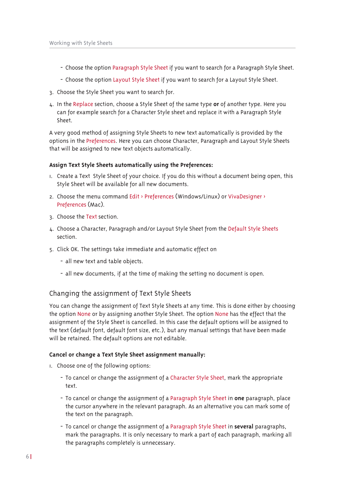- Choose the option Paragraph Style Sheet if you want to search for a Paragraph Style Sheet.
- Choose the option Layout Style Sheet if you want to search for a Layout Style Sheet.
- 3. Choose the Style Sheet you want to search for.
- $\mu$ . In the Replace section, choose a Style Sheet of the same type or of another type. Here you can for example search for a Character Style sheet and replace it with a Paragraph Style Sheet.

A very good method of assigning Style Sheets to new text automatically is provided by the options in the Preferences. Here you can choose Character, Paragraph and Layout Style Sheets that will be assigned to new text objects automatically.

#### **Assign Text Style Sheets automatically using the Preferences:**

- I. Create a Text Style Sheet of your choice. If you do this without a document being open, this Style Sheet will be available for all new documents.
- 2. Choose the menu command Edit > Preferences (Windows/Linux) or VivaDesigner > Preferences (Mac).
- 3. Choose the Text section.
- 4. Choose a Character, Paragraph and/or Layout Style Sheet from the Default Style Sheets section.
- 5. Click OK. The settings take immediate and automatic effect on
	- all new text and table objects.
	- all new documents, if at the time of making the setting no document is open.

#### Changing the assignment of Text Style Sheets

You can change the assignment of Text Style Sheets at any time. This is done either by choosing the option None or by assigning another Style Sheet. The option None has the effect that the assignment of the Style Sheet is cancelled. In this case the default options will be assigned to the text (default font, default font size, etc.), but any manual settings that have been made will be retained. The default options are not editable.

#### **Cancel or change a Text Style Sheet assignment manually:**

- $\mu$ . Choose one of the following options:
	- To cancel or change the assignment of a Character Style Sheet, mark the appropriate text
	- To cancel or change the assignment of a Paragraph Style Sheet in **one** paragraph, place the cursor anywhere in the relevant paragraph. As an alternative you can mark some of the text on the paragraph.
	- To cancel or change the assignment of a Paragraph Style Sheet in **several** paragraphs, mark the paragraphs. It is only necessary to mark a part of each paragraph, marking all the paragraphs completely is unnecessary.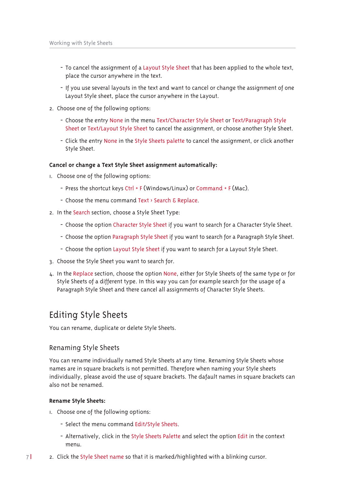- To cancel the assignment of a Layout Style Sheet that has been applied to the whole text, place the cursor anywhere in the text.
- If you use several layouts in the text and want to cancel or change the assignment of one Layout Style sheet, place the cursor anywhere in the Layout.
- 2. Choose one of the following options:
	- Choose the entry None in the menu Text/Character Style Sheet or Text/Paragraph Style Sheet or Text/Layout Style Sheet to cancel the assignment, or choose another Style Sheet.
	- Click the entry None in the Style Sheets palette to cancel the assignment, or click another Style Sheet.

#### **Cancel or change a Text Style Sheet assignment automatically:**

- I. Choose one of the following options:
	- Press the shortcut keys Ctrl + F (Windows/Linux) or Command + F (Mac).
	- Choose the menu command Text > Search & Replace.
- 2. In the Search section, choose a Style Sheet Type:
	- Choose the option Character Style Sheet if you want to search for a Character Style Sheet.
	- Choose the option Paragraph Style Sheet if you want to search for a Paragraph Style Sheet.
	- Choose the option Layout Style Sheet if you want to search for a Layout Style Sheet.
- 3. Choose the Style Sheet you want to search for.
- 4. In the Replace section, choose the option None, either for Style Sheets of the same type or for Style Sheets of a different type. In this way you can for example search for the usage of a Paragraph Style Sheet and there cancel all assignments of Character Style Sheets.

### Editing Style Sheets

You can rename, duplicate or delete Style Sheets.

#### Renaming Style Sheets

You can rename individually named Style Sheets at any time. Renaming Style Sheets whose names are in square brackets is not permitted. Therefore when naming your Style sheets individually, please avoid the use of square brackets. The dafault names in square brackets can also not be renamed

#### **Rename Style Sheets:**

- I. Choose one of the following options:
	- Select the menu command Edit/Style Sheets.
	- Alternatively, click in the Style Sheets Palette and select the option Edit in the context menu
- 7 endich 4 Style Sheet name so that it is marked/highlighted with a blinking cursor.